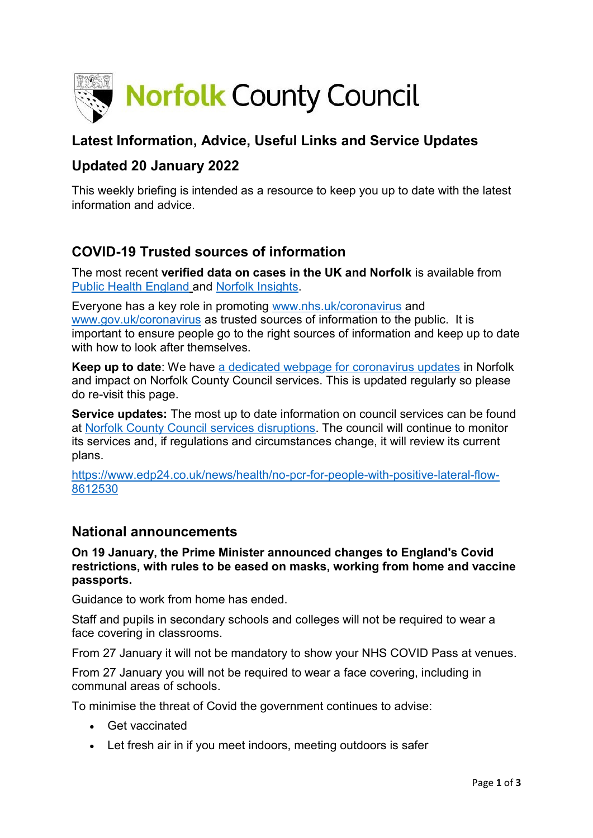

# **Latest Information, Advice, Useful Links and Service Updates**

## **Updated 20 January 2022**

This weekly briefing is intended as a resource to keep you up to date with the latest information and advice.

# **COVID-19 Trusted sources of information**

The most recent **verified data on cases in the UK and Norfolk** is available from [Public Health England](https://www.gov.uk/government/publications/covid-19-track-coronavirus-cases) and [Norfolk Insights.](https://www.norfolkinsight.org.uk/coronavirus/)

Everyone has a key role in promoting [www.nhs.uk/coronavirus](http://www.nhs.uk/coronavirus) and [www.gov.uk/coronavirus](http://www.gov.uk/coronavirus) as trusted sources of information to the public. It is important to ensure people go to the right sources of information and keep up to date with how to look after themselves.

**Keep up to date**: We have [a dedicated webpage for coronavirus updates](https://www.norfolk.gov.uk/care-support-and-health/health-and-wellbeing/adults-health/coronavirus/) in Norfolk and impact on Norfolk County Council services. This is updated regularly so please do re-visit this page.

**Service updates:** The most up to date information on council services can be found at [Norfolk County Council services disruptions.](https://www.norfolk.gov.uk/safety/service-disruptions) The council will continue to monitor its services and, if regulations and circumstances change, it will review its current plans.

[https://www.edp24.co.uk/news/health/no-pcr-for-people-with-positive-lateral-flow-](https://www.edp24.co.uk/news/health/no-pcr-for-people-with-positive-lateral-flow-8612530)[8612530](https://www.edp24.co.uk/news/health/no-pcr-for-people-with-positive-lateral-flow-8612530)

### **National announcements**

**On 19 January, the Prime Minister announced changes to England's Covid restrictions, with rules to be eased on masks, working from home and vaccine passports.**

Guidance to work from home has ended.

Staff and pupils in secondary schools and colleges will not be required to wear a face covering in classrooms.

From 27 January it will not be mandatory to show your NHS COVID Pass at venues.

From 27 January you will not be required to wear a face covering, including in communal areas of schools.

To minimise the threat of Covid the government continues to advise:

- Get vaccinated
- Let fresh air in if you meet indoors, meeting outdoors is safer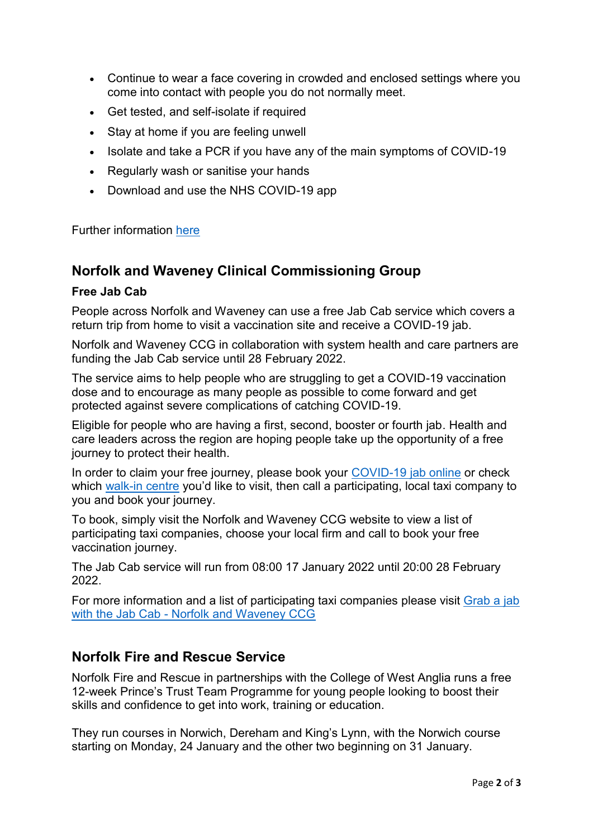- Continue to wear a face covering in crowded and enclosed settings where you come into contact with people you do not normally meet.
- Get tested, and self-isolate if required
- Stay at home if you are feeling unwell
- Isolate and take a PCR if you have any of the main symptoms of COVID-19
- Regularly wash or sanitise your hands
- Download and use the NHS COVID-19 app

Further information [here](https://www.gov.uk/coronavirus)

#### **Norfolk and Waveney Clinical Commissioning Group**

#### **Free Jab Cab**

People across Norfolk and Waveney can use a free Jab Cab service which covers a return trip from home to visit a vaccination site and receive a COVID-19 jab.

Norfolk and Waveney CCG in collaboration with system health and care partners are funding the Jab Cab service until 28 February 2022.

The service aims to help people who are struggling to get a COVID-19 vaccination dose and to encourage as many people as possible to come forward and get protected against severe complications of catching COVID-19.

Eligible for people who are having a first, second, booster or fourth jab. Health and care leaders across the region are hoping people take up the opportunity of a free journey to protect their health.

In order to claim your free journey, please book your [COVID-19 jab online](https://www.nhs.uk/conditions/coronavirus-covid-19/coronavirus-vaccination/book-coronavirus-vaccination/) or check which [walk-in centre](https://apps.norfolk.gov.uk/WalkIn/) you'd like to visit, then call a participating, local taxi company to you and book your journey.

To book, simply visit the Norfolk and Waveney CCG website to view a list of participating taxi companies, choose your local firm and call to book your free vaccination journey.

The Jab Cab service will run from 08:00 17 January 2022 until 20:00 28 February 2022.

For more information and a list of participating taxi companies please visit [Grab a jab](https://norfolkandwaveneyccg.nhs.uk/jabcab)  with the Jab Cab - [Norfolk and Waveney CCG](https://norfolkandwaveneyccg.nhs.uk/jabcab)

### **Norfolk Fire and Rescue Service**

Norfolk Fire and Rescue in partnerships with the College of West Anglia runs a free 12-week Prince's Trust Team Programme for young people looking to boost their skills and confidence to get into work, training or education.

They run courses in Norwich, Dereham and King's Lynn, with the Norwich course starting on Monday, 24 January and the other two beginning on 31 January.